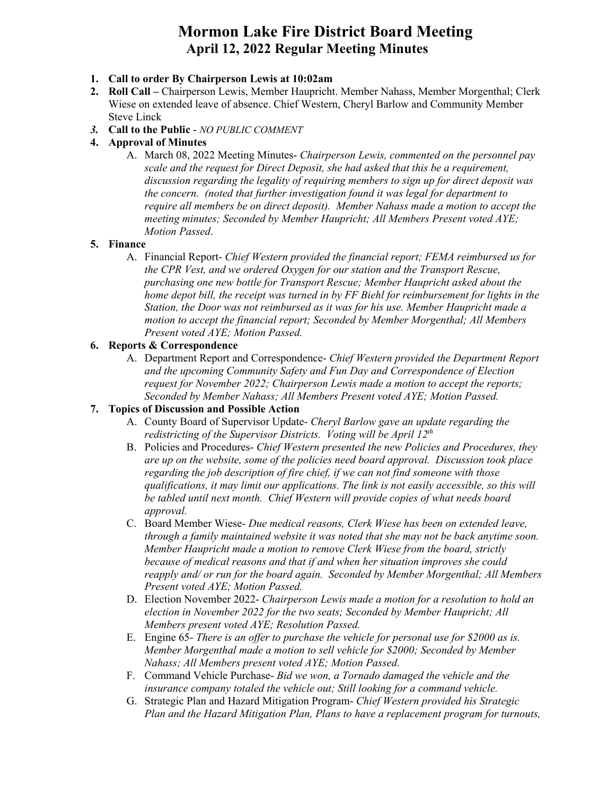# **Mormon Lake Fire District Board Meeting April 12, 2022 Regular Meeting Minutes**

- **1. Call to order By Chairperson Lewis at 10:02am**
- **2. Roll Call –** Chairperson Lewis, Member Haupricht. Member Nahass, Member Morgenthal; Clerk Wiese on extended leave of absence. Chief Western, Cheryl Barlow and Community Member Steve Linck
- *3.* **Call to the Public** ‐ *NO PUBLIC COMMENT*
- **4. Approval of Minutes** 
	- A. March 08, 2022 Meeting Minutes- *Chairperson Lewis, commented on the personnel pay scale and the request for Direct Deposit, she had asked that this be a requirement, discussion regarding the legality of requiring members to sign up for direct deposit was the concern. (noted that further investigation found it was legal for department to require all members be on direct deposit). Member Nahass made a motion to accept the meeting minutes; Seconded by Member Haupricht; All Members Present voted AYE; Motion Passed*.

#### **5. Finance**

A. Financial Report- *Chief Western provided the financial report; FEMA reimbursed us for the CPR Vest, and we ordered Oxygen for our station and the Transport Rescue, purchasing one new bottle for Transport Rescue; Member Haupricht asked about the home depot bill, the receipt was turned in by FF Biehl for reimbursement for lights in the Station, the Door was not reimbursed as it was for his use. Member Haupricht made a motion to accept the financial report; Seconded by Member Morgenthal; All Members Present voted AYE; Motion Passed.*

#### **6. Reports & Correspondence**

A. Department Report and Correspondence- *Chief Western provided the Department Report and the upcoming Community Safety and Fun Day and Correspondence of Election request for November 2022; Chairperson Lewis made a motion to accept the reports; Seconded by Member Nahass; All Members Present voted AYE; Motion Passed.*

### **7. Topics of Discussion and Possible Action**

- A. County Board of Supervisor Update- *Cheryl Barlow gave an update regarding the redistricting of the Supervisor Districts. Voting will be April 12th*
- B. Policies and Procedures- *Chief Western presented the new Policies and Procedures, they are up on the website, some of the policies need board approval. Discussion took place regarding the job description of fire chief, if we can not find someone with those qualifications, it may limit our applications. The link is not easily accessible, so this will be tabled until next month. Chief Western will provide copies of what needs board approval.*
- C. Board Member Wiese- *Due medical reasons, Clerk Wiese has been on extended leave, through a family maintained website it was noted that she may not be back anytime soon. Member Haupricht made a motion to remove Clerk Wiese from the board, strictly because of medical reasons and that if and when her situation improves she could reapply and/ or run for the board again. Seconded by Member Morgenthal; All Members Present voted AYE; Motion Passed.*
- D. Election November 2022- *Chairperson Lewis made a motion for a resolution to hold an election in November 2022 for the two seats; Seconded by Member Haupricht; All Members present voted AYE; Resolution Passed.*
- E. Engine 65- *There is an offer to purchase the vehicle for personal use for \$2000 as is. Member Morgenthal made a motion to sell vehicle for \$2000; Seconded by Member Nahass; All Members present voted AYE; Motion Passed.*
- F. Command Vehicle Purchase- *Bid we won, a Tornado damaged the vehicle and the insurance company totaled the vehicle out; Still looking for a command vehicle.*
- G. Strategic Plan and Hazard Mitigation Program- *Chief Western provided his Strategic Plan and the Hazard Mitigation Plan, Plans to have a replacement program for turnouts,*